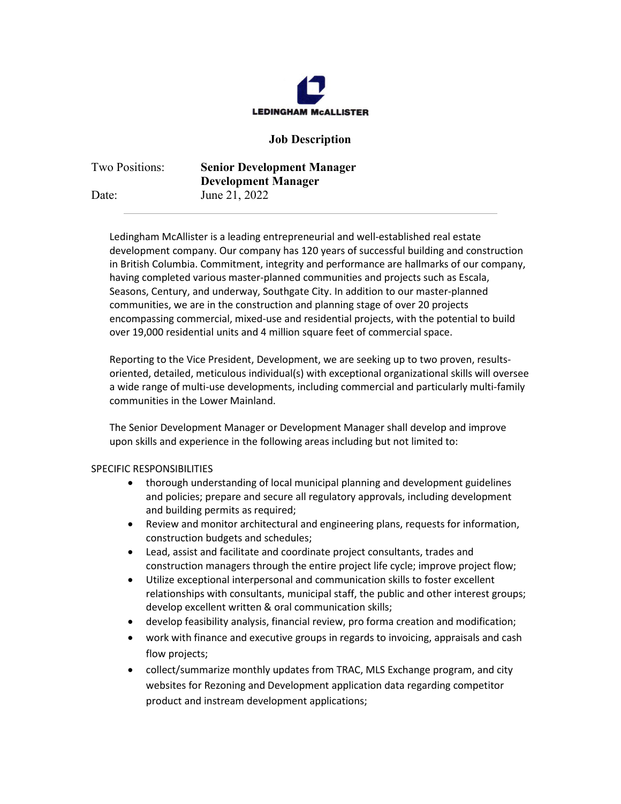

## **Job Description**

| Two Positions: | <b>Senior Development Manager</b> |
|----------------|-----------------------------------|
|                | <b>Development Manager</b>        |
| Date:          | June 21, 2022                     |

Ledingham McAllister is a leading entrepreneurial and well-established real estate development company. Our company has 120 years of successful building and construction in British Columbia. Commitment, integrity and performance are hallmarks of our company, having completed various master-planned communities and projects such as Escala, Seasons, Century, and underway, Southgate City. In addition to our master-planned communities, we are in the construction and planning stage of over 20 projects encompassing commercial, mixed-use and residential projects, with the potential to build over 19,000 residential units and 4 million square feet of commercial space.

Reporting to the Vice President, Development, we are seeking up to two proven, resultsoriented, detailed, meticulous individual(s) with exceptional organizational skills will oversee a wide range of multi-use developments, including commercial and particularly multi-family communities in the Lower Mainland.

The Senior Development Manager or Development Manager shall develop and improve upon skills and experience in the following areas including but not limited to:

## SPECIFIC RESPONSIBILITIES

- thorough understanding of local municipal planning and development guidelines and policies; prepare and secure all regulatory approvals, including development and building permits as required;
- Review and monitor architectural and engineering plans, requests for information, construction budgets and schedules;
- Lead, assist and facilitate and coordinate project consultants, trades and construction managers through the entire project life cycle; improve project flow;
- Utilize exceptional interpersonal and communication skills to foster excellent relationships with consultants, municipal staff, the public and other interest groups; develop excellent written & oral communication skills;
- develop feasibility analysis, financial review, pro forma creation and modification;
- work with finance and executive groups in regards to invoicing, appraisals and cash flow projects;
- collect/summarize monthly updates from TRAC, MLS Exchange program, and city websites for Rezoning and Development application data regarding competitor product and instream development applications;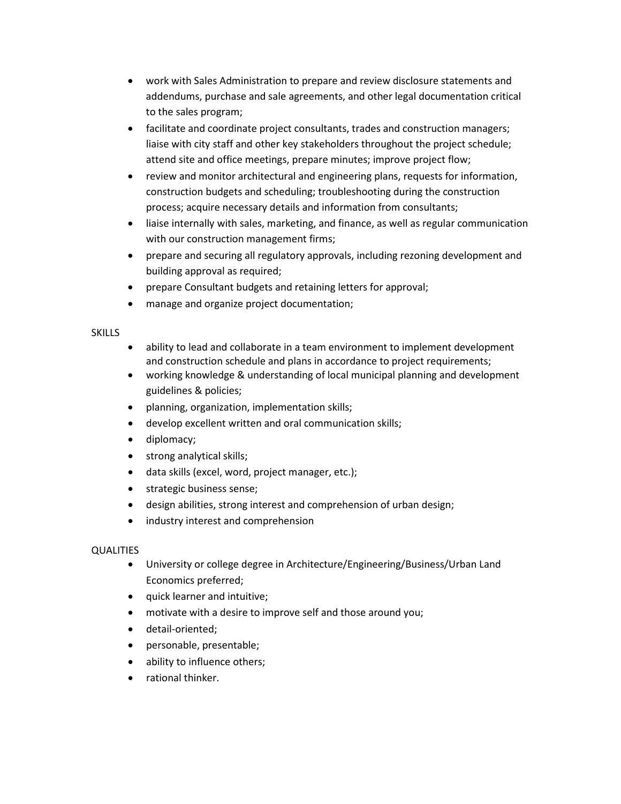- work with Sales Administration to prepare and review disclosure statements and addendums, purchase and sale agreements, and other legal documentation critical to the sales program;
- facilitate and coordinate project consultants, trades and construction managers; liaise with city staff and other key stakeholders throughout the project schedule; attend site and office meetings, prepare minutes; improve project flow;
- review and monitor architectural and engineering plans, requests for information, construction budgets and scheduling; troubleshooting during the construction process; acquire necessary details and information from consultants;
- liaise internally with sales, marketing, and finance, as well as regular communication with our construction management firms;
- prepare and securing all regulatory approvals, including rezoning development and building approval as required;
- prepare Consultant budgets and retaining letters for approval;
- manage and organize project documentation;

## SKILLS

- ability to lead and collaborate in a team environment to implement development and construction schedule and plans in accordance to project requirements;
- working knowledge & understanding of local municipal planning and development guidelines & policies;
- planning, organization, implementation skills;
- develop excellent written and oral communication skills;
- diplomacy;
- strong analytical skills;
- data skills (excel, word, project manager, etc.);
- strategic business sense;
- design abilities, strong interest and comprehension of urban design;
- industry interest and comprehension

## **QUALITIES**

- University or college degree in Architecture/Engineering/Business/Urban Land Economics preferred;
- quick learner and intuitive;
- motivate with a desire to improve self and those around you;
- detail-oriented;
- personable, presentable;
- ability to influence others;
- rational thinker.